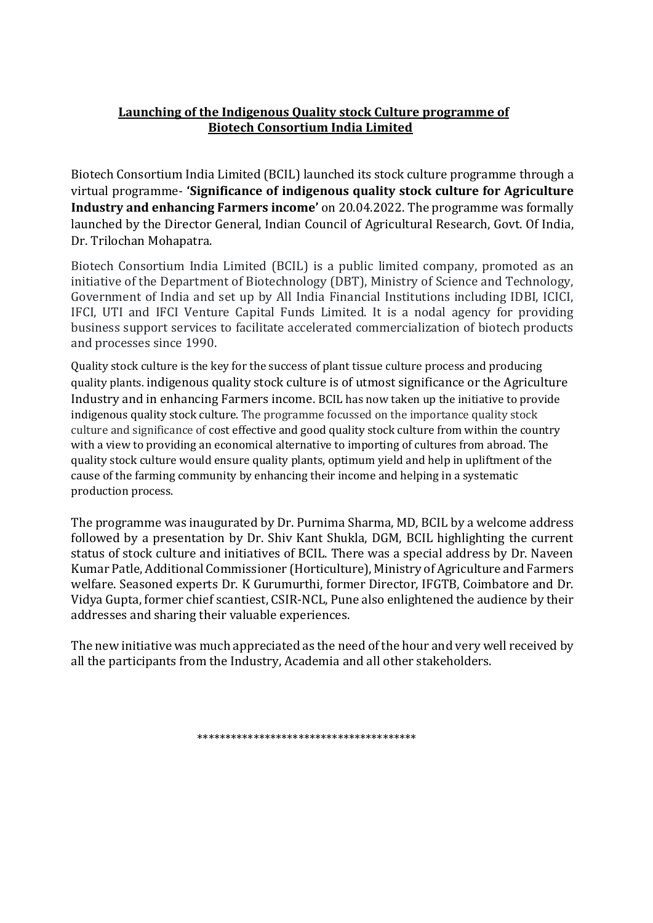## **Launching of the Indigenous Quality stock Culture programme of Biotech Consortium India Limited**

Biotech Consortium India Limited (BCIL) launched its stock culture programme through a virtual programme- **'Significance of indigenous quality stock culture for Agriculture Industry and enhancing Farmers income'** on 20.04.2022. The programme was formally launched by the Director General, Indian Council of Agricultural Research, Govt. Of India, Dr. Trilochan Mohapatra.

Biotech Consortium India Limited (BCIL) is a public limited company, promoted as an initiative of the Department of Biotechnology (DBT), Ministry of Science and Technology, Government of India and set up by All India Financial Institutions including IDBI, ICICI, IFCI, UTI and IFCI Venture Capital Funds Limited. It is a nodal agency for providing business support services to facilitate accelerated commercialization of biotech products and processes since 1990.

Quality stock culture is the key for the success of plant tissue culture process and producing quality plants. indigenous quality stock culture is of utmost significance or the Agriculture Industry and in enhancing Farmers income. BCIL has now taken up the initiative to provide indigenous quality stock culture. The programme focussed on the importance quality stock culture and significance of cost effective and good quality stock culture from within the country with a view to providing an economical alternative to importing of cultures from abroad. The quality stock culture would ensure quality plants, optimum yield and help in upliftment of the cause of the farming community by enhancing their income and helping in a systematic production process.

The programme was inaugurated by Dr. Purnima Sharma, MD, BCIL by a welcome address followed by a presentation by Dr. Shiv Kant Shukla, DGM, BCIL highlighting the current status of stock culture and initiatives of BCIL. There was a special address by Dr. Naveen Kumar Patle, Additional Commissioner (Horticulture), Ministry of Agriculture and Farmers welfare. Seasoned experts Dr. K Gurumurthi, former Director, IFGTB, Coimbatore and Dr. Vidya Gupta, former chief scantiest, CSIR-NCL, Pune also enlightened the audience by their addresses and sharing their valuable experiences.

The new initiative was much appreciated as the need of the hour and very well received by all the participants from the Industry, Academia and all other stakeholders.

\*\*\*\*\*\*\*\*\*\*\*\*\*\*\*\*\*\*\*\*\*\*\*\*\*\*\*\*\*\*\*\*\*\*\*\*\*\*\*